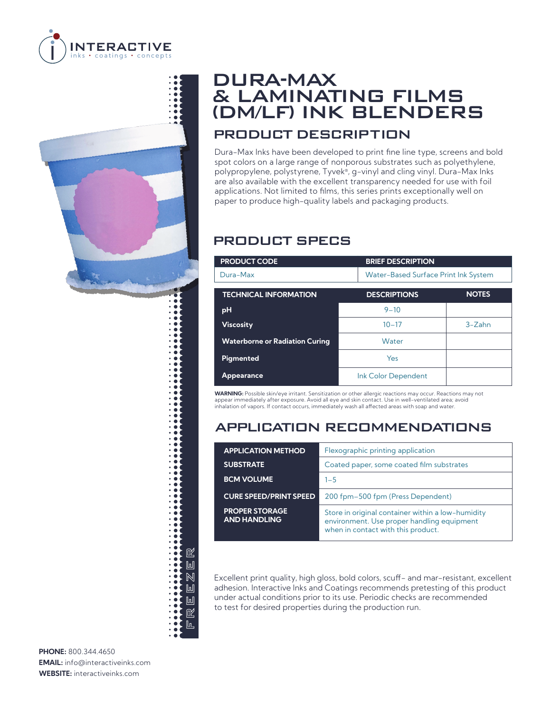

# 1 呕 FREEZER  $\mathbb{L}$  $\mathbb N$  $\mathbb{L}$  $\mathbb{L}$ 呕 իւ

## DURA-MAX & LAMINATING FILMS (DM/LF) INK BLENDERS PRODUCT DESCRIPTION

Dura-Max Inks have been developed to print fine line type, screens and bold spot colors on a large range of nonporous substrates such as polyethylene, polypropylene, polystyrene, Tyvek®, g-vinyl and cling vinyl. Dura-Max Inks are also available with the excellent transparency needed for use with foil applications. Not limited to films, this series prints exceptionally well on paper to produce high-quality labels and packaging products.

### PRODUCT SPECS

| <b>PRODUCT CODE</b>                   | <b>BRIEF DESCRIPTION</b> |                                             |  |  |
|---------------------------------------|--------------------------|---------------------------------------------|--|--|
| Dura-Max                              |                          | <b>Water-Based Surface Print Ink System</b> |  |  |
| <b>TECHNICAL INFORMATION</b>          | <b>DESCRIPTIONS</b>      | <b>NOTES</b>                                |  |  |
| pH                                    | $9 - 10$                 |                                             |  |  |
| <b>Viscosity</b>                      | $10 - 17$                | $3 - Zahn$                                  |  |  |
| <b>Waterborne or Radiation Curing</b> | Water                    |                                             |  |  |
| Pigmented                             | Yes                      |                                             |  |  |
| <b>Appearance</b>                     | Ink Color Dependent      |                                             |  |  |

**WARNING:** Possible skin/eye irritant. Sensitization or other allergic reactions may occur. Reactions may not appear immediately after exposure. Avoid all eye and skin contact. Use in well-ventilated area; avoid inhalation of vapors. If contact occurs, immediately wash all affected areas with soap and water.

#### APPLICATION RECOMMENDATIONS

| <b>APPLICATION METHOD</b>                    | Flexographic printing application                                                                                                     |  |
|----------------------------------------------|---------------------------------------------------------------------------------------------------------------------------------------|--|
| <b>SUBSTRATE</b>                             | Coated paper, some coated film substrates                                                                                             |  |
| <b>BCM VOLUME</b>                            | $1 - 5$                                                                                                                               |  |
| <b>CURE SPEED/PRINT SPEED</b>                | 200 fpm-500 fpm (Press Dependent)                                                                                                     |  |
| <b>PROPER STORAGE</b><br><b>AND HANDLING</b> | Store in original container within a low-humidity<br>environment. Use proper handling equipment<br>when in contact with this product. |  |

Excellent print quality, high gloss, bold colors, scuff- and mar-resistant, excellent adhesion. Interactive Inks and Coatings recommends pretesting of this product under actual conditions prior to its use. Periodic checks are recommended to test for desired properties during the production run.

**PHONE:** 800.344.4650 **EMAIL:** info@interactiveinks.com **WEBSITE:** interactiveinks.com